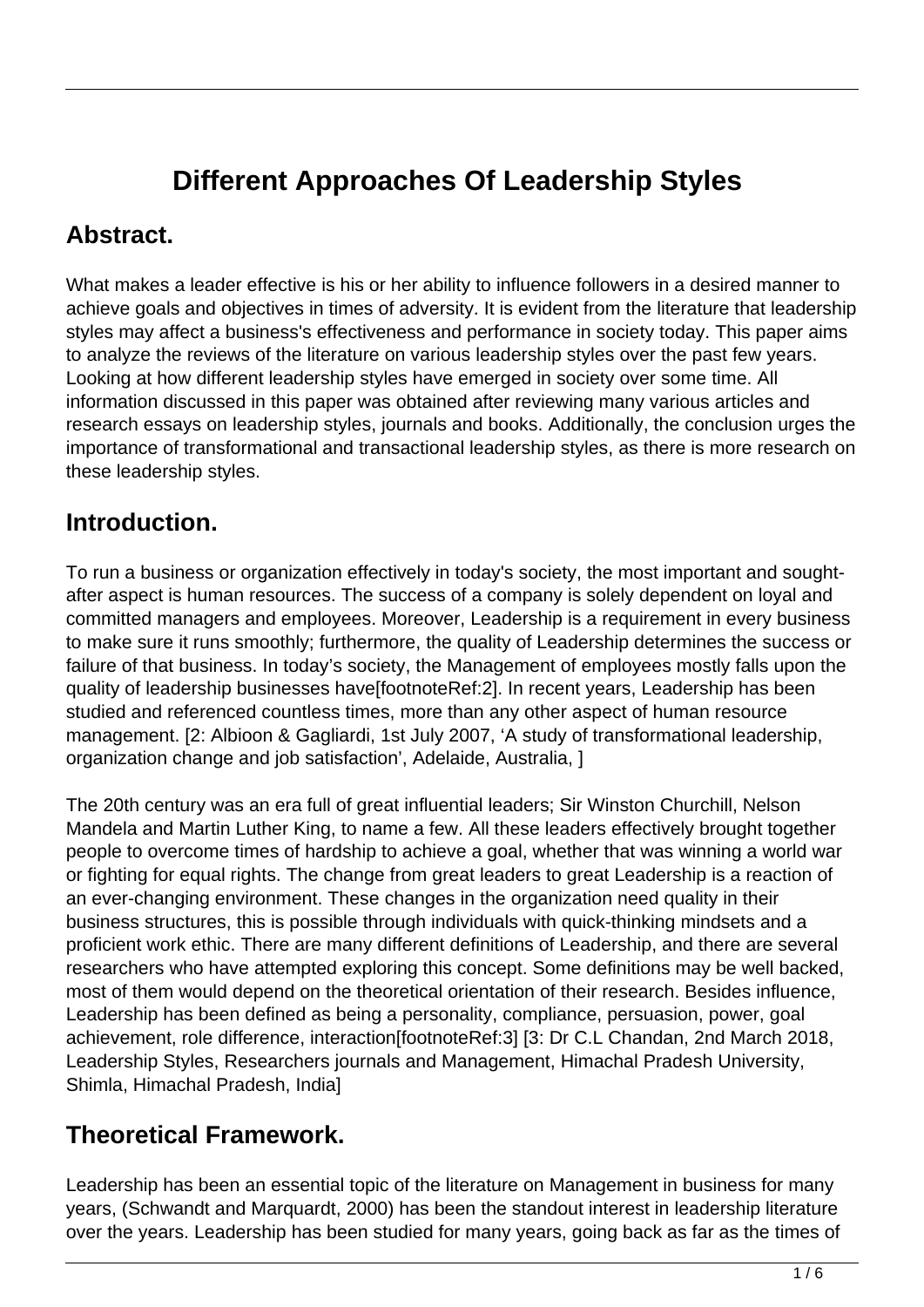# **Different Approaches Of Leadership Styles**

### **Abstract.**

What makes a leader effective is his or her ability to influence followers in a desired manner to achieve goals and objectives in times of adversity. It is evident from the literature that leadership styles may affect a business's effectiveness and performance in society today. This paper aims to analyze the reviews of the literature on various leadership styles over the past few years. Looking at how different leadership styles have emerged in society over some time. All information discussed in this paper was obtained after reviewing many various articles and research essays on leadership styles, journals and books. Additionally, the conclusion urges the importance of transformational and transactional leadership styles, as there is more research on these leadership styles.

### **Introduction.**

To run a business or organization effectively in today's society, the most important and soughtafter aspect is human resources. The success of a company is solely dependent on loyal and committed managers and employees. Moreover, Leadership is a requirement in every business to make sure it runs smoothly; furthermore, the quality of Leadership determines the success or failure of that business. In today's society, the Management of employees mostly falls upon the quality of leadership businesses have[footnoteRef:2]. In recent years, Leadership has been studied and referenced countless times, more than any other aspect of human resource management. [2: Albioon & Gagliardi, 1st July 2007, 'A study of transformational leadership, organization change and job satisfaction', Adelaide, Australia, ]

The 20th century was an era full of great influential leaders; Sir Winston Churchill, Nelson Mandela and Martin Luther King, to name a few. All these leaders effectively brought together people to overcome times of hardship to achieve a goal, whether that was winning a world war or fighting for equal rights. The change from great leaders to great Leadership is a reaction of an ever-changing environment. These changes in the organization need quality in their business structures, this is possible through individuals with quick-thinking mindsets and a proficient work ethic. There are many different definitions of Leadership, and there are several researchers who have attempted exploring this concept. Some definitions may be well backed, most of them would depend on the theoretical orientation of their research. Besides influence, Leadership has been defined as being a personality, compliance, persuasion, power, goal achievement, role difference, interaction[footnoteRef:3] [3: Dr C.L Chandan, 2nd March 2018, Leadership Styles, Researchers journals and Management, Himachal Pradesh University, Shimla, Himachal Pradesh, India]

### **Theoretical Framework.**

Leadership has been an essential topic of the literature on Management in business for many years, (Schwandt and Marquardt, 2000) has been the standout interest in leadership literature over the years. Leadership has been studied for many years, going back as far as the times of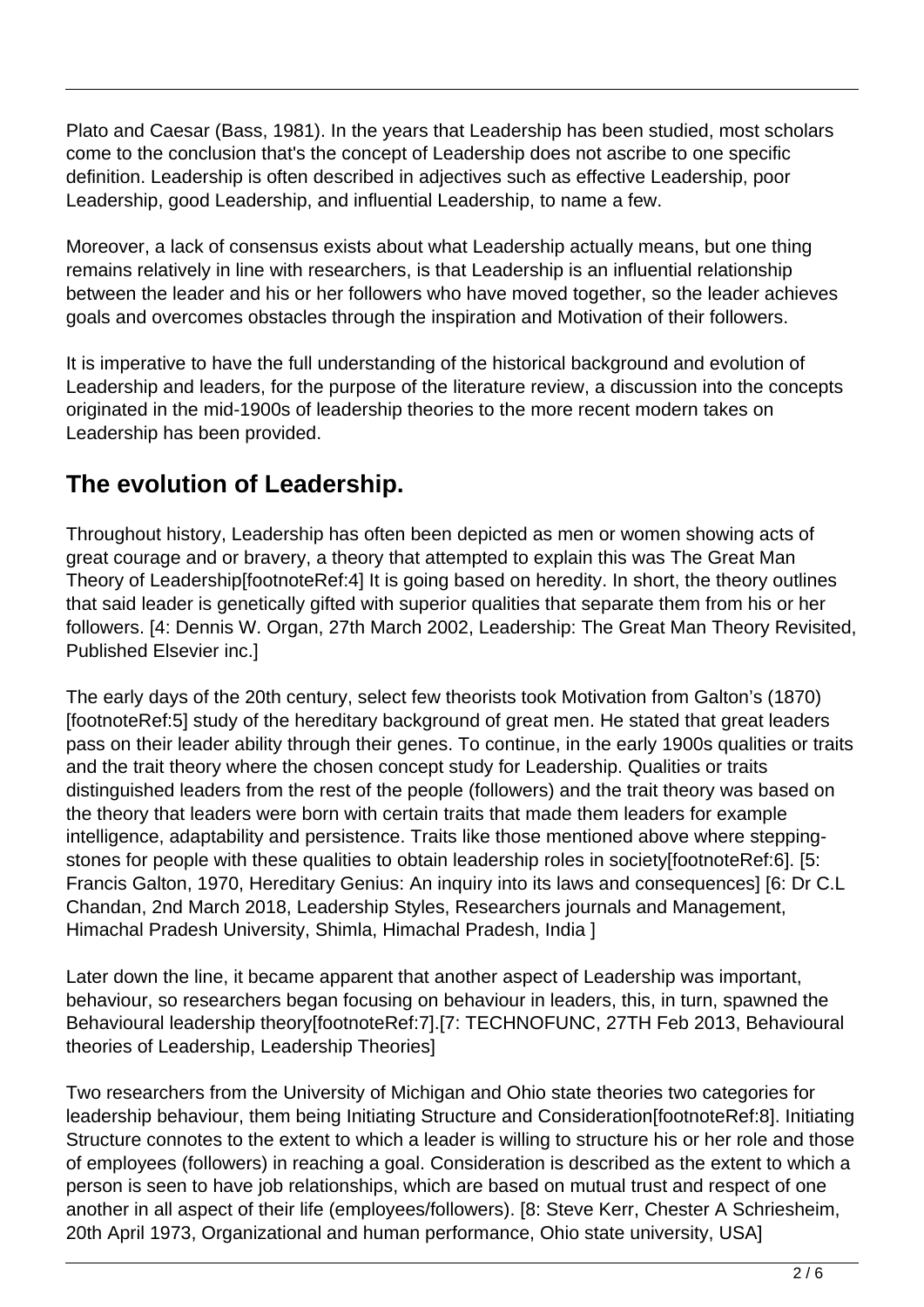Plato and Caesar (Bass, 1981). In the years that Leadership has been studied, most scholars come to the conclusion that's the concept of Leadership does not ascribe to one specific definition. Leadership is often described in adjectives such as effective Leadership, poor Leadership, good Leadership, and influential Leadership, to name a few.

Moreover, a lack of consensus exists about what Leadership actually means, but one thing remains relatively in line with researchers, is that Leadership is an influential relationship between the leader and his or her followers who have moved together, so the leader achieves goals and overcomes obstacles through the inspiration and Motivation of their followers.

It is imperative to have the full understanding of the historical background and evolution of Leadership and leaders, for the purpose of the literature review, a discussion into the concepts originated in the mid-1900s of leadership theories to the more recent modern takes on Leadership has been provided.

## **The evolution of Leadership.**

Throughout history, Leadership has often been depicted as men or women showing acts of great courage and or bravery, a theory that attempted to explain this was The Great Man Theory of Leadership[footnoteRef:4] It is going based on heredity. In short, the theory outlines that said leader is genetically gifted with superior qualities that separate them from his or her followers. [4: Dennis W. Organ, 27th March 2002, Leadership: The Great Man Theory Revisited, Published Elsevier inc.]

The early days of the 20th century, select few theorists took Motivation from Galton's (1870) [footnoteRef:5] study of the hereditary background of great men. He stated that great leaders pass on their leader ability through their genes. To continue, in the early 1900s qualities or traits and the trait theory where the chosen concept study for Leadership. Qualities or traits distinguished leaders from the rest of the people (followers) and the trait theory was based on the theory that leaders were born with certain traits that made them leaders for example intelligence, adaptability and persistence. Traits like those mentioned above where steppingstones for people with these qualities to obtain leadership roles in society[footnoteRef:6]. [5: Francis Galton, 1970, Hereditary Genius: An inquiry into its laws and consequences] [6: Dr C.L Chandan, 2nd March 2018, Leadership Styles, Researchers journals and Management, Himachal Pradesh University, Shimla, Himachal Pradesh, India ]

Later down the line, it became apparent that another aspect of Leadership was important, behaviour, so researchers began focusing on behaviour in leaders, this, in turn, spawned the Behavioural leadership theory[footnoteRef:7].[7: TECHNOFUNC, 27TH Feb 2013, Behavioural theories of Leadership, Leadership Theories]

Two researchers from the University of Michigan and Ohio state theories two categories for leadership behaviour, them being Initiating Structure and Consideration[footnoteRef:8]. Initiating Structure connotes to the extent to which a leader is willing to structure his or her role and those of employees (followers) in reaching a goal. Consideration is described as the extent to which a person is seen to have job relationships, which are based on mutual trust and respect of one another in all aspect of their life (employees/followers). [8: Steve Kerr, Chester A Schriesheim, 20th April 1973, Organizational and human performance, Ohio state university, USA]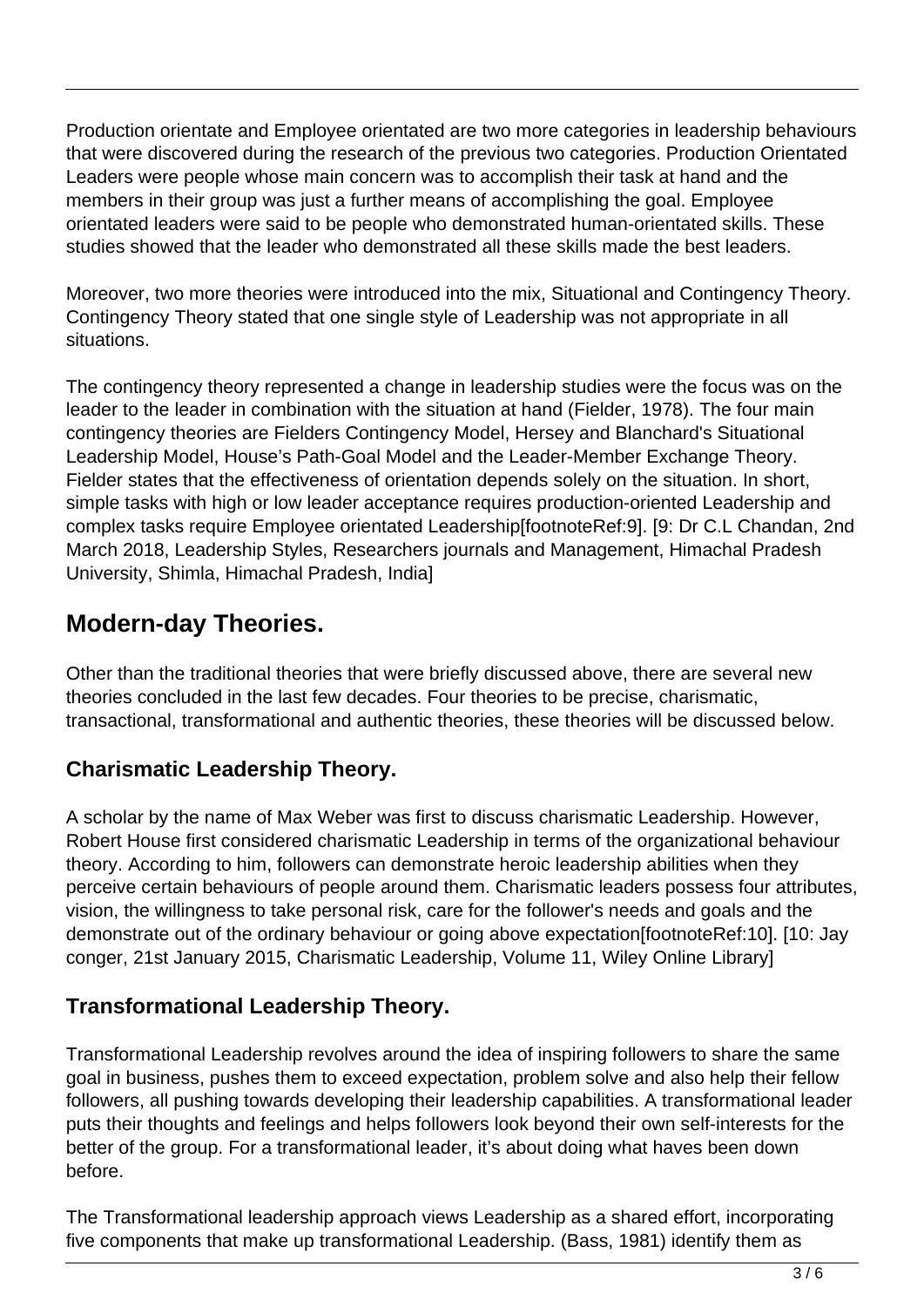Production orientate and Employee orientated are two more categories in leadership behaviours that were discovered during the research of the previous two categories. Production Orientated Leaders were people whose main concern was to accomplish their task at hand and the members in their group was just a further means of accomplishing the goal. Employee orientated leaders were said to be people who demonstrated human-orientated skills. These studies showed that the leader who demonstrated all these skills made the best leaders.

Moreover, two more theories were introduced into the mix, Situational and Contingency Theory. Contingency Theory stated that one single style of Leadership was not appropriate in all situations.

The contingency theory represented a change in leadership studies were the focus was on the leader to the leader in combination with the situation at hand (Fielder, 1978). The four main contingency theories are Fielders Contingency Model, Hersey and Blanchard's Situational Leadership Model, House's Path-Goal Model and the Leader-Member Exchange Theory. Fielder states that the effectiveness of orientation depends solely on the situation. In short, simple tasks with high or low leader acceptance requires production-oriented Leadership and complex tasks require Employee orientated Leadership[footnoteRef:9]. [9: Dr C.L Chandan, 2nd March 2018, Leadership Styles, Researchers journals and Management, Himachal Pradesh University, Shimla, Himachal Pradesh, India]

## **Modern-day Theories.**

Other than the traditional theories that were briefly discussed above, there are several new theories concluded in the last few decades. Four theories to be precise, charismatic, transactional, transformational and authentic theories, these theories will be discussed below.

#### **Charismatic Leadership Theory.**

A scholar by the name of Max Weber was first to discuss charismatic Leadership. However, Robert House first considered charismatic Leadership in terms of the organizational behaviour theory. According to him, followers can demonstrate heroic leadership abilities when they perceive certain behaviours of people around them. Charismatic leaders possess four attributes, vision, the willingness to take personal risk, care for the follower's needs and goals and the demonstrate out of the ordinary behaviour or going above expectation[footnoteRef:10]. [10: Jay conger, 21st January 2015, Charismatic Leadership, Volume 11, Wiley Online Library]

#### **Transformational Leadership Theory.**

Transformational Leadership revolves around the idea of inspiring followers to share the same goal in business, pushes them to exceed expectation, problem solve and also help their fellow followers, all pushing towards developing their leadership capabilities. A transformational leader puts their thoughts and feelings and helps followers look beyond their own self-interests for the better of the group. For a transformational leader, it's about doing what haves been down before.

The Transformational leadership approach views Leadership as a shared effort, incorporating five components that make up transformational Leadership. (Bass, 1981) identify them as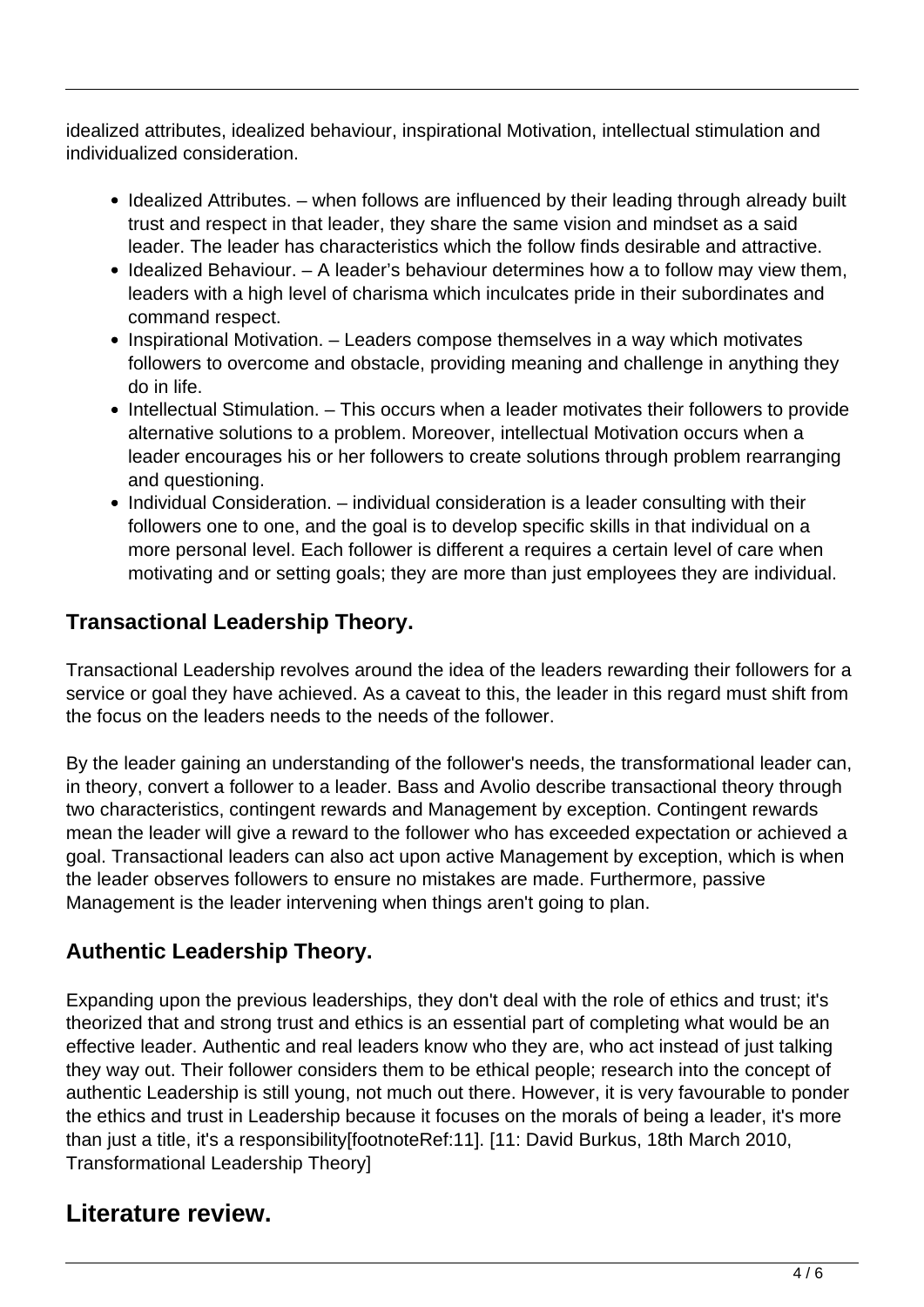idealized attributes, idealized behaviour, inspirational Motivation, intellectual stimulation and individualized consideration.

- Idealized Attributes. when follows are influenced by their leading through already built trust and respect in that leader, they share the same vision and mindset as a said leader. The leader has characteristics which the follow finds desirable and attractive.
- $\bullet$  Idealized Behaviour.  $-$  A leader's behaviour determines how a to follow may view them, leaders with a high level of charisma which inculcates pride in their subordinates and command respect.
- Inspirational Motivation. Leaders compose themselves in a way which motivates followers to overcome and obstacle, providing meaning and challenge in anything they do in life.
- Intellectual Stimulation. This occurs when a leader motivates their followers to provide alternative solutions to a problem. Moreover, intellectual Motivation occurs when a leader encourages his or her followers to create solutions through problem rearranging and questioning.
- Individual Consideration. individual consideration is a leader consulting with their followers one to one, and the goal is to develop specific skills in that individual on a more personal level. Each follower is different a requires a certain level of care when motivating and or setting goals; they are more than just employees they are individual.

#### **Transactional Leadership Theory.**

Transactional Leadership revolves around the idea of the leaders rewarding their followers for a service or goal they have achieved. As a caveat to this, the leader in this regard must shift from the focus on the leaders needs to the needs of the follower.

By the leader gaining an understanding of the follower's needs, the transformational leader can, in theory, convert a follower to a leader. Bass and Avolio describe transactional theory through two characteristics, contingent rewards and Management by exception. Contingent rewards mean the leader will give a reward to the follower who has exceeded expectation or achieved a goal. Transactional leaders can also act upon active Management by exception, which is when the leader observes followers to ensure no mistakes are made. Furthermore, passive Management is the leader intervening when things aren't going to plan.

#### **Authentic Leadership Theory.**

Expanding upon the previous leaderships, they don't deal with the role of ethics and trust; it's theorized that and strong trust and ethics is an essential part of completing what would be an effective leader. Authentic and real leaders know who they are, who act instead of just talking they way out. Their follower considers them to be ethical people; research into the concept of authentic Leadership is still young, not much out there. However, it is very favourable to ponder the ethics and trust in Leadership because it focuses on the morals of being a leader, it's more than just a title, it's a responsibility[footnoteRef:11]. [11: David Burkus, 18th March 2010, Transformational Leadership Theory]

### **Literature review.**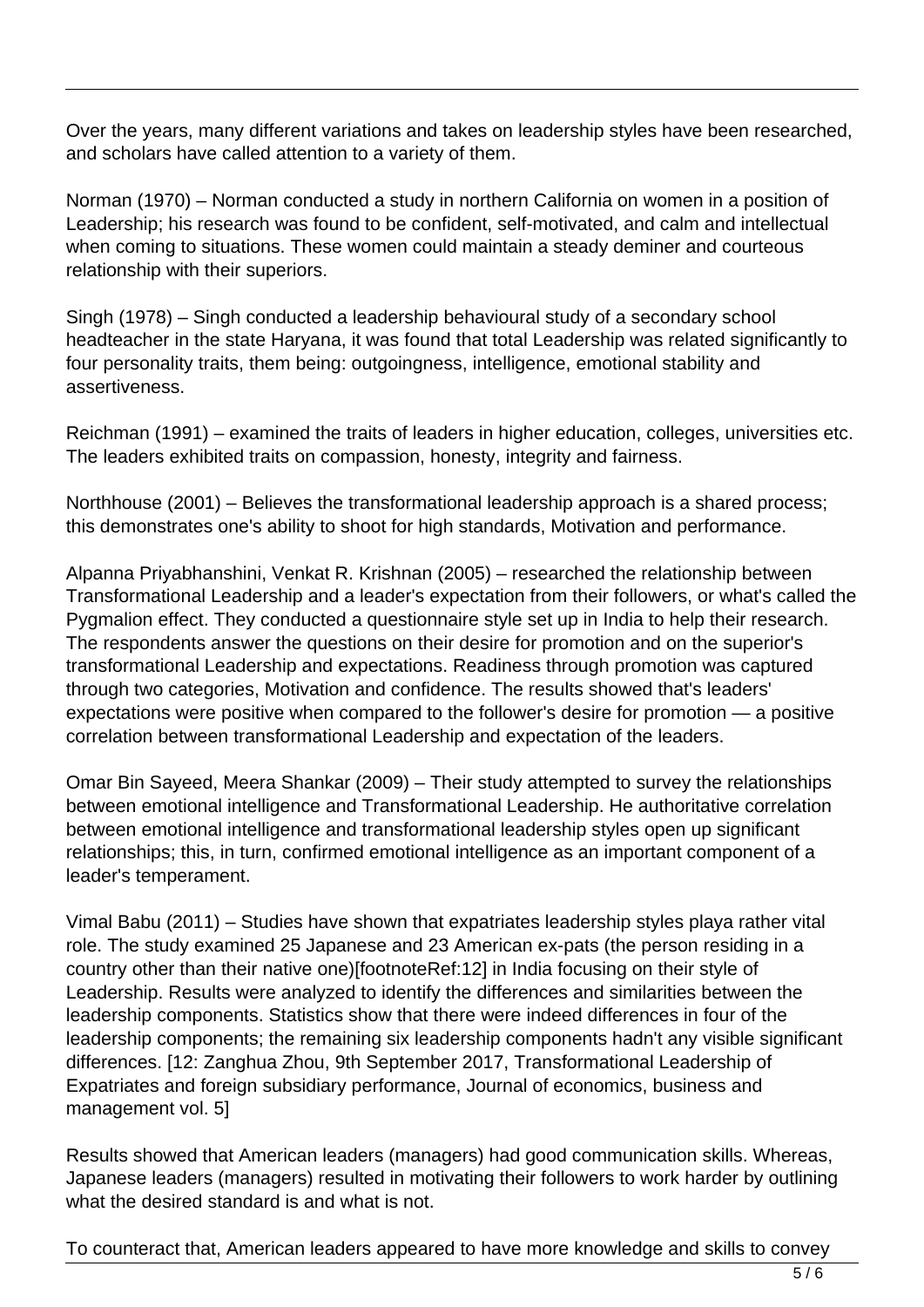Over the years, many different variations and takes on leadership styles have been researched, and scholars have called attention to a variety of them.

Norman (1970) – Norman conducted a study in northern California on women in a position of Leadership; his research was found to be confident, self-motivated, and calm and intellectual when coming to situations. These women could maintain a steady deminer and courteous relationship with their superiors.

Singh (1978) – Singh conducted a leadership behavioural study of a secondary school headteacher in the state Haryana, it was found that total Leadership was related significantly to four personality traits, them being: outgoingness, intelligence, emotional stability and assertiveness.

Reichman (1991) – examined the traits of leaders in higher education, colleges, universities etc. The leaders exhibited traits on compassion, honesty, integrity and fairness.

Northhouse (2001) – Believes the transformational leadership approach is a shared process; this demonstrates one's ability to shoot for high standards, Motivation and performance.

Alpanna Priyabhanshini, Venkat R. Krishnan (2005) – researched the relationship between Transformational Leadership and a leader's expectation from their followers, or what's called the Pygmalion effect. They conducted a questionnaire style set up in India to help their research. The respondents answer the questions on their desire for promotion and on the superior's transformational Leadership and expectations. Readiness through promotion was captured through two categories, Motivation and confidence. The results showed that's leaders' expectations were positive when compared to the follower's desire for promotion — a positive correlation between transformational Leadership and expectation of the leaders.

Omar Bin Sayeed, Meera Shankar (2009) – Their study attempted to survey the relationships between emotional intelligence and Transformational Leadership. He authoritative correlation between emotional intelligence and transformational leadership styles open up significant relationships; this, in turn, confirmed emotional intelligence as an important component of a leader's temperament.

Vimal Babu (2011) – Studies have shown that expatriates leadership styles playa rather vital role. The study examined 25 Japanese and 23 American ex-pats (the person residing in a country other than their native one)[footnoteRef:12] in India focusing on their style of Leadership. Results were analyzed to identify the differences and similarities between the leadership components. Statistics show that there were indeed differences in four of the leadership components; the remaining six leadership components hadn't any visible significant differences. [12: Zanghua Zhou, 9th September 2017, Transformational Leadership of Expatriates and foreign subsidiary performance, Journal of economics, business and management vol. 5]

Results showed that American leaders (managers) had good communication skills. Whereas, Japanese leaders (managers) resulted in motivating their followers to work harder by outlining what the desired standard is and what is not.

To counteract that, American leaders appeared to have more knowledge and skills to convey